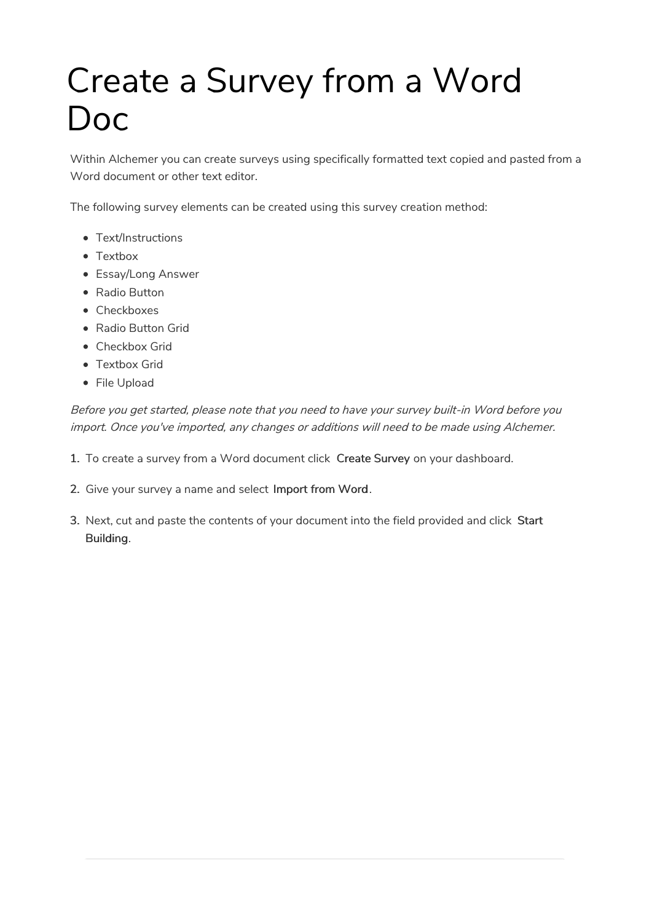# Create a Survey from a Word Doc

Within Alchemer you can create surveys using specifically formatted text copied and pasted from a Word document or other text editor.

The following survey elements can be created using this survey creation method:

- Text/Instructions
- Textbox
- Essay/Long Answer
- Radio Button
- Checkboxes
- Radio Button Grid
- Checkbox Grid
- Textbox Grid
- File Upload

Before you get started, please note that you need to have your survey built-in Word before you import. Once you've imported, any changes or additions will need to be made using Alchemer.

- 1. To create a survey from a Word document click Create Survey on your dashboard.
- 2. Give your survey a name and select Import from Word.
- 3. Next, cut and paste the contents of your document into the field provided and click Start Building.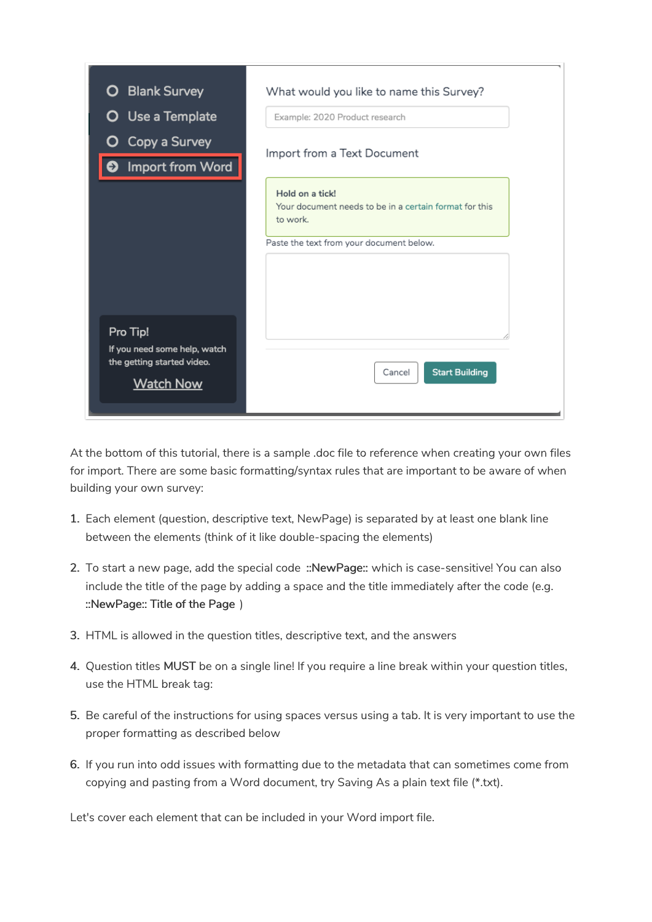| <b>Blank Survey</b><br>О                                                                   | What would you like to name this Survey?                                                                                          |  |  |  |  |  |
|--------------------------------------------------------------------------------------------|-----------------------------------------------------------------------------------------------------------------------------------|--|--|--|--|--|
| <b>O</b> Use a Template                                                                    | Example: 2020 Product research                                                                                                    |  |  |  |  |  |
| Copy a Survey<br>O<br>Import from Word                                                     | Import from a Text Document                                                                                                       |  |  |  |  |  |
|                                                                                            | Hold on a tick!<br>Your document needs to be in a certain format for this<br>to work.<br>Paste the text from your document below. |  |  |  |  |  |
| Pro Tip!<br>If you need some help, watch<br>the getting started video.<br><b>Watch Now</b> | <b>Start Building</b><br>Cancel                                                                                                   |  |  |  |  |  |

At the bottom of this tutorial, there is a sample .doc file to reference when creating your own files for import. There are some basic formatting/syntax rules that are important to be aware of when building your own survey:

- 1. Each element (question, descriptive text, NewPage) is separated by at least one blank line between the elements (think of it like double-spacing the elements)
- 2. To start a new page, add the special code :: NewPage:: which is case-sensitive! You can also include the title of the page by adding a space and the title immediately after the code (e.g. ::NewPage:: Title of the Page )
- 3. HTML is allowed in the question titles, descriptive text, and the answers
- 4. Question titles MUST be on a single line! If you require a line break within your question titles, use the HTML break tag:
- 5. Be careful of the instructions for using spaces versus using a tab. It is very important to use the proper formatting as described below
- 6. If you run into odd issues with formatting due to the metadata that can sometimes come from copying and pasting from a Word document, try Saving As a plain text file (\*.txt).

Let's cover each element that can be included in your Word import file.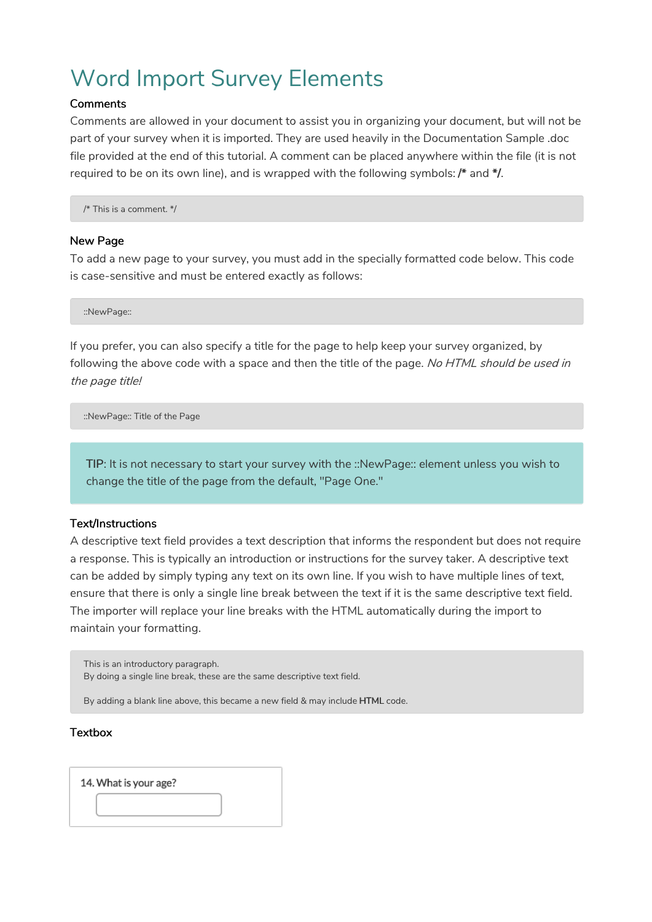# Word Import Survey Elements

#### **Comments**

Comments are allowed in your document to assist you in organizing your document, but will not be part of your survey when it is imported. They are used heavily in the Documentation Sample .doc file provided at the end of this tutorial. A comment can be placed anywhere within the file (it is not required to be on its own line), and is wrapped with the following symbols: /\* and \*/.

/\* This is a comment. \*/

#### New Page

To add a new page to your survey, you must add in the specially formatted code below. This code is case-sensitive and must be entered exactly as follows:

::NewPage::

If you prefer, you can also specify a title for the page to help keep your survey organized, by following the above code with a space and then the title of the page. No HTML should be used in the page title!

::NewPage:: Title of the Page

TIP: It is not necessary to start your survey with the ::NewPage:: element unless you wish to change the title of the page from the default, "Page One."

#### Text/Instructions

A descriptive text field provides a text description that informs the respondent but does not require a response. This is typically an introduction or instructions for the survey taker. A descriptive text can be added by simply typing any text on its own line. If you wish to have multiple lines of text, ensure that there is only a single line break between the text if it is the same descriptive text field. The importer will replace your line breaks with the HTML automatically during the import to maintain your formatting.

This is an introductory paragraph. By doing a single line break, these are the same descriptive text field.

By adding a blank line above, this became a new field & may include HTML code.

#### **Textbox**

14. What is your age?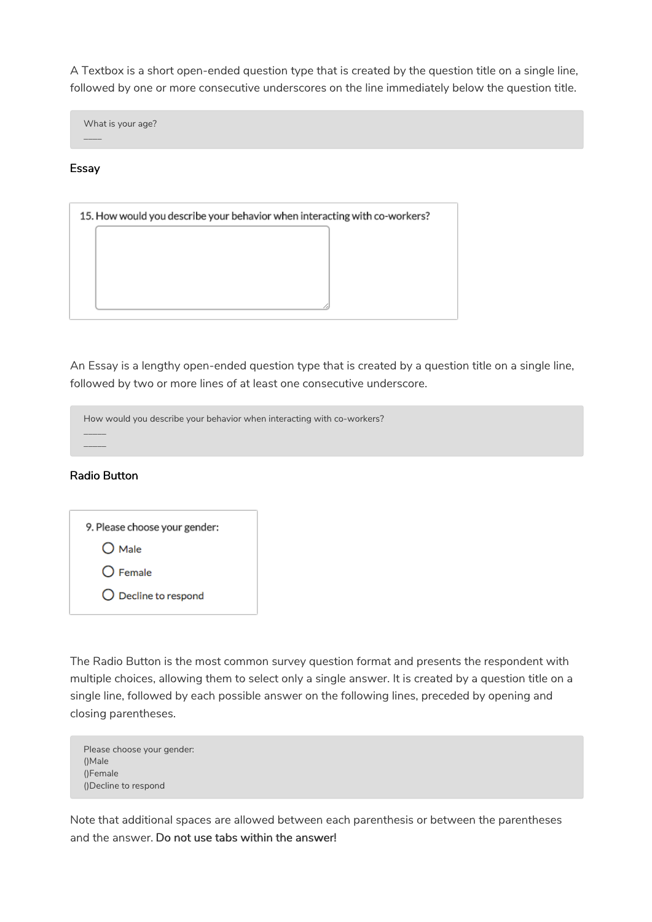A Textbox is a short open-ended question type that is created by the question title on a single line, followed by one or more consecutive underscores on the line immediately below the question title.

What is your age?

#### Essay

\_\_\_\_

| 15. How would you describe your behavior when interacting with co-workers? |  |  |  |  |  |
|----------------------------------------------------------------------------|--|--|--|--|--|
|                                                                            |  |  |  |  |  |
|                                                                            |  |  |  |  |  |
|                                                                            |  |  |  |  |  |
|                                                                            |  |  |  |  |  |

An Essay is a lengthy open-ended question type that is created by a question title on a single line, followed by two or more lines of at least one consecutive underscore.

| How would you describe your behavior when interacting with co-workers? |
|------------------------------------------------------------------------|
|                                                                        |
|                                                                        |

#### Radio Button

| 9. Please choose your gender: |  |  |  |  |
|-------------------------------|--|--|--|--|
| $O$ Male                      |  |  |  |  |
| $\bigcirc$ Female             |  |  |  |  |
| $\bigcirc$ Decline to respond |  |  |  |  |
|                               |  |  |  |  |

The Radio Button is the most common survey question format and presents the respondent with multiple choices, allowing them to select only a single answer. It is created by a question title on a single line, followed by each possible answer on the following lines, preceded by opening and closing parentheses.

| Please choose your gender: |
|----------------------------|
| (Nale)                     |
| ()Female                   |
| ()Decline to respond       |

Note that additional spaces are allowed between each parenthesis or between the parentheses and the answer. Do not use tabs within the answer!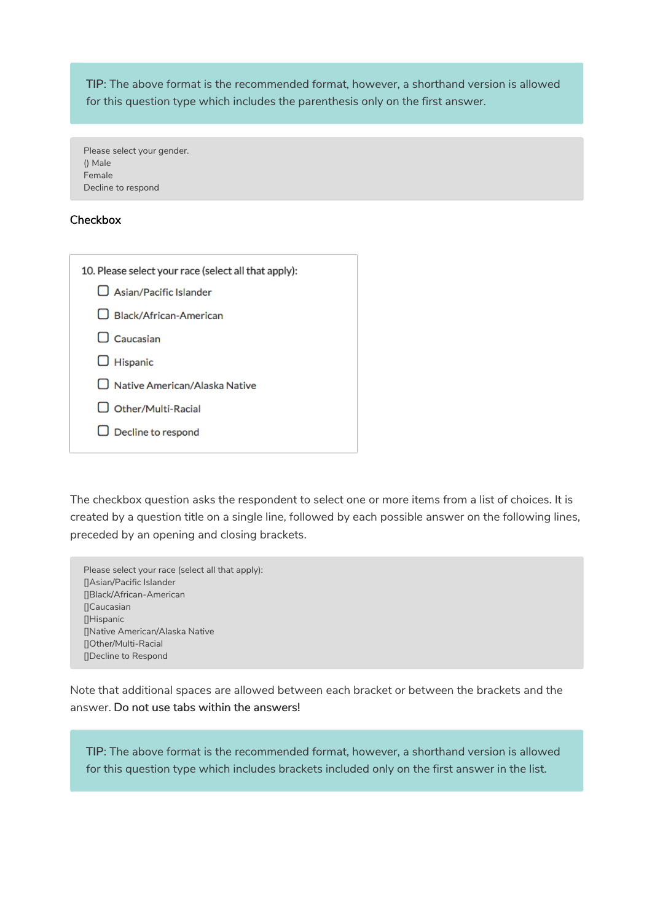TIP: The above format is the recommended format, however, a shorthand version is allowed for this question type which includes the parenthesis only on the first answer.

Please select your gender. () Male Female Decline to respond

#### **Checkbox**

| 10. Please select your race (select all that apply): |  |  |  |  |
|------------------------------------------------------|--|--|--|--|
| $\Box$ Asian/Pacific Islander                        |  |  |  |  |
| $\Box$ Black/African-American                        |  |  |  |  |
| $\Box$ Caucasian                                     |  |  |  |  |
| $\Box$ Hispanic                                      |  |  |  |  |
| $\square$ Native American/Alaska Native              |  |  |  |  |
| $\Box$ Other/Multi-Racial                            |  |  |  |  |
| $\Box$ Decline to respond                            |  |  |  |  |
|                                                      |  |  |  |  |

The checkbox question asks the respondent to select one or more items from a list of choices. It is created by a question title on a single line, followed by each possible answer on the following lines, preceded by an opening and closing brackets.

Please select your race (select all that apply): []Asian/Pacific Islander []Black/African-American **N**Caucasian []Hispanic []Native American/Alaska Native []Other/Multi-Racial []Decline to Respond

Note that additional spaces are allowed between each bracket or between the brackets and the answer. Do not use tabs within the answers!

TIP: The above format is the recommended format, however, a shorthand version is allowed for this question type which includes brackets included only on the first answer in the list.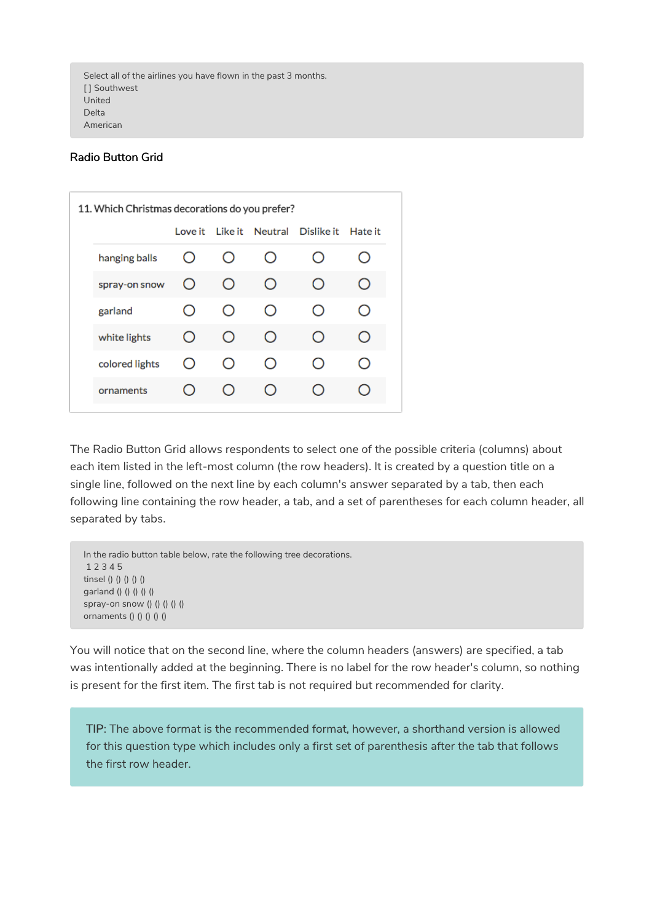#### Radio Button Grid

| 11. Which Christmas decorations do you prefer? |            |                        |                        |                                                 |  |  |
|------------------------------------------------|------------|------------------------|------------------------|-------------------------------------------------|--|--|
|                                                | Love it    |                        |                        | Like it Neutral Dislike it Hate it              |  |  |
| hanging balls                                  | Ο          | $\left( \quad \right)$ | $\left( \quad \right)$ | ( )                                             |  |  |
| spray-on snow                                  | O          | $\bigcirc$             | O                      | $\left( \ \right)$                              |  |  |
| garland                                        | Ο          | $\bigcirc$             | O                      | $^{\circ}$                                      |  |  |
| white lights                                   | $^{\circ}$ | $\left( \right)$       | O                      | $\bigcirc$                                      |  |  |
| colored lights                                 | $^{\circ}$ | $\left( \right)$       | $\left( \right)$       | $\left( \begin{array}{c} 1 \end{array} \right)$ |  |  |
| ornaments                                      |            | ( )                    | ()                     |                                                 |  |  |
|                                                |            |                        |                        |                                                 |  |  |

The Radio Button Grid allows respondents to select one of the possible criteria (columns) about each item listed in the left-most column (the row headers). It is created by a question title on a single line, followed on the next line by each column's answer separated by a tab, then each following line containing the row header, a tab, and a set of parentheses for each column header, all separated by tabs.

```
In the radio button table below, rate the following tree decorations.
1 2 3 4 5
tinsel () () () () ()
garland () () () () ()
spray-on snow () () () () ()
ornaments () () () ()
```
You will notice that on the second line, where the column headers (answers) are specified, a tab was intentionally added at the beginning. There is no label for the row header's column, so nothing is present for the first item. The first tab is not required but recommended for clarity.

TIP: The above format is the recommended format, however, a shorthand version is allowed for this question type which includes only a first set of parenthesis after the tab that follows the first row header.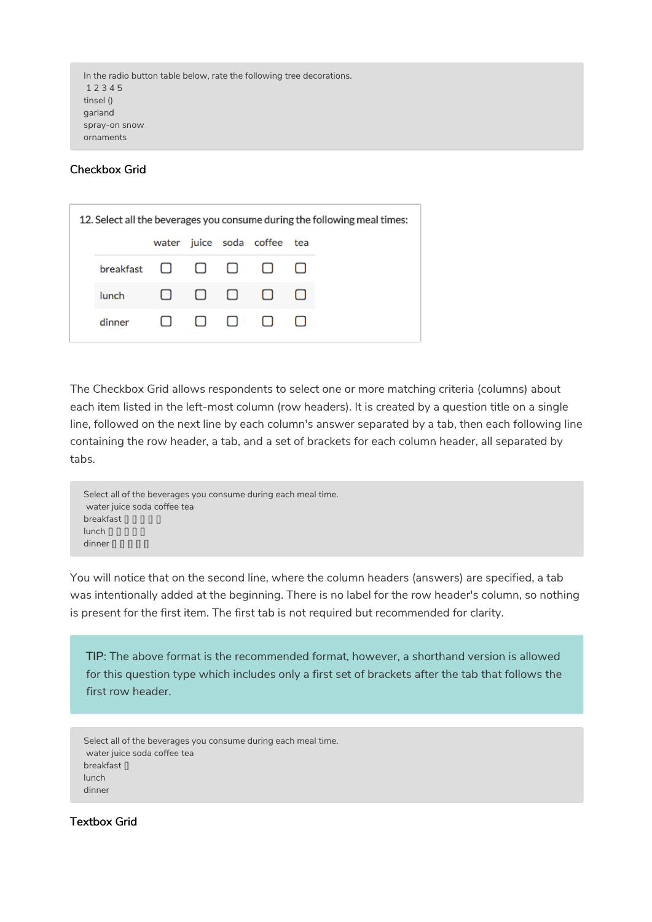```
In the radio button table below, rate the following tree decorations.
1 2 3 4 5
tinsel ()
garland
spray-on snow
ornaments
```
#### Checkbox Grid

| 12. Select all the beverages you consume during the following meal times: |                                              |  |  |  |                             |        |  |  |
|---------------------------------------------------------------------------|----------------------------------------------|--|--|--|-----------------------------|--------|--|--|
|                                                                           |                                              |  |  |  | water juice soda coffee tea |        |  |  |
|                                                                           | breakfast $\Box$ $\Box$ $\Box$ $\Box$ $\Box$ |  |  |  |                             |        |  |  |
|                                                                           | lunch                                        |  |  |  |                             | $\Box$ |  |  |
|                                                                           | dinner                                       |  |  |  | $\Box$ $\Box$ $\Box$ $\Box$ |        |  |  |

The Checkbox Grid allows respondents to select one or more matching criteria (columns) about each item listed in the left-most column (row headers). It is created by a question title on a single line, followed on the next line by each column's answer separated by a tab, then each following line containing the row header, a tab, and a set of brackets for each column header, all separated by tabs.

```
Select all of the beverages you consume during each meal time.
water juice soda coffee tea
breakfast [ [ ] [ ] [ ] [ ] [lunch[][][][]dimner[][][][]
```
You will notice that on the second line, where the column headers (answers) are specified, a tab was intentionally added at the beginning. There is no label for the row header's column, so nothing is present for the first item. The first tab is not required but recommended for clarity.

TIP: The above format is the recommended format, however, a shorthand version is allowed for this question type which includes only a first set of brackets after the tab that follows the first row header.

Select all of the beverages you consume during each meal time. water juice soda coffee tea breakfast [] lunch dinner

Textbox Grid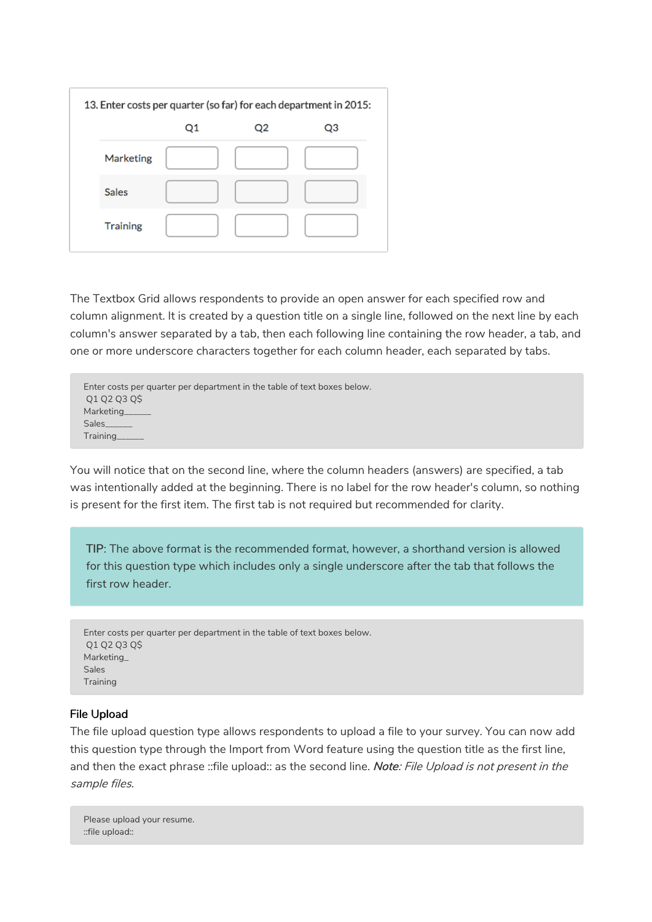| 13. Enter costs per quarter (so far) for each department in 2015: |  |    |    |  |  |  |
|-------------------------------------------------------------------|--|----|----|--|--|--|
|                                                                   |  | Q2 | Q3 |  |  |  |
| Marketing                                                         |  |    |    |  |  |  |
| <b>Sales</b>                                                      |  |    |    |  |  |  |
| <b>Training</b>                                                   |  |    |    |  |  |  |

The Textbox Grid allows respondents to provide an open answer for each specified row and column alignment. It is created by a question title on a single line, followed on the next line by each column's answer separated by a tab, then each following line containing the row header, a tab, and one or more underscore characters together for each column header, each separated by tabs.

```
Enter costs per quarter per department in the table of text boxes below.
Q1 Q2 Q3 Q$
Marketing_
Sales_
Training______
```
You will notice that on the second line, where the column headers (answers) are specified, a tab was intentionally added at the beginning. There is no label for the row header's column, so nothing is present for the first item. The first tab is not required but recommended for clarity.

TIP: The above format is the recommended format, however, a shorthand version is allowed for this question type which includes only a single underscore after the tab that follows the first row header.

```
Enter costs per quarter per department in the table of text boxes below.
Q1 Q2 Q3 Q$
Marketing_
Sales
Training
```
#### File Upload

The file upload question type allows respondents to upload a file to your survey. You can now add this question type through the Import from Word feature using the question title as the first line, and then the exact phrase ::file upload:: as the second line. Note: File Upload is not present in the sample files.

Please upload your resume. ::file upload::